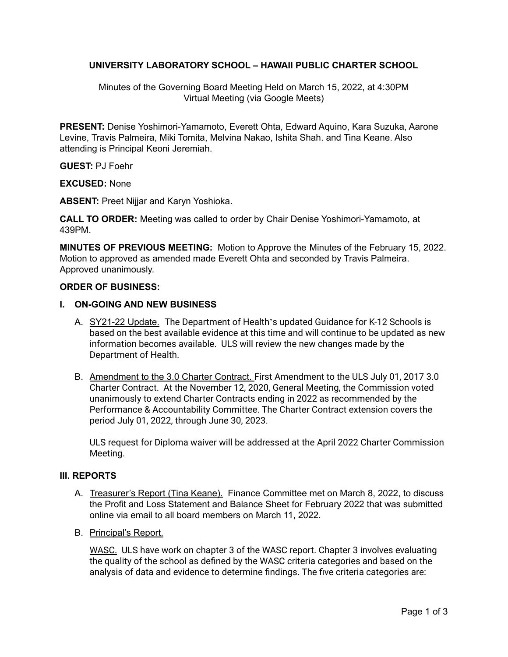# **UNIVERSITY LABORATORY SCHOOL – HAWAII PUBLIC CHARTER SCHOOL**

Minutes of the Governing Board Meeting Held on March 15, 2022, at 4:30PM Virtual Meeting (via Google Meets)

**PRESENT:** Denise Yoshimori-Yamamoto, Everett Ohta, Edward Aquino, Kara Suzuka, Aarone Levine, Travis Palmeira, Miki Tomita, Melvina Nakao, Ishita Shah. and Tina Keane. Also attending is Principal Keoni Jeremiah.

## **GUEST:** PJ Foehr

**EXCUSED:** None

**ABSENT:** Preet Nijjar and Karyn Yoshioka.

**CALL TO ORDER:** Meeting was called to order by Chair Denise Yoshimori-Yamamoto, at 439PM.

**MINUTES OF PREVIOUS MEETING:** Motion to Approve the Minutes of the February 15, 2022. Motion to approved as amended made Everett Ohta and seconded by Travis Palmeira. Approved unanimously.

#### **ORDER OF BUSINESS:**

#### **I. ON-GOING AND NEW BUSINESS**

- A. SY21-22 Update. The Department of Health's updated Guidance for K-12 Schools is based on the best available evidence at this time and will continue to be updated as new information becomes available. ULS will review the new changes made by the Department of Health.
- B. Amendment to the 3.0 Charter Contract. First Amendment to the ULS July 01, 2017 3.0 Charter Contract. At the November 12, 2020, General Meeting, the Commission voted unanimously to extend Charter Contracts ending in 2022 as recommended by the Performance & Accountability Committee. The Charter Contract extension covers the period July 01, 2022, through June 30, 2023.

ULS request for Diploma waiver will be addressed at the April 2022 Charter Commission Meeting.

## **III. REPORTS**

- A. Treasurer's Report (Tina Keane). Finance Committee met on March 8, 2022, to discuss the Profit and Loss Statement and Balance Sheet for February 2022 that was submitted online via email to all board members on March 11, 2022.
- B. Principal's Report.

WASC. ULS have work on chapter 3 of the WASC report. Chapter 3 involves evaluating the quality of the school as defined by the WASC criteria categories and based on the analysis of data and evidence to determine findings. The five criteria categories are: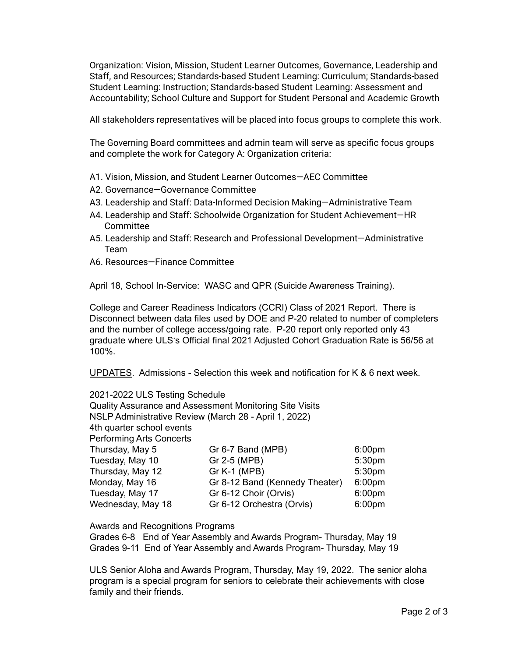Organization: Vision, Mission, Student Learner Outcomes, Governance, Leadership and Staff, and Resources; Standards-based Student Learning: Curriculum; Standards-based Student Learning: Instruction; Standards-based Student Learning: Assessment and Accountability; School Culture and Support for Student Personal and Academic Growth

All stakeholders representatives will be placed into focus groups to complete this work.

The Governing Board committees and admin team will serve as specific focus groups and complete the work for Category A: Organization criteria:

- A1. Vision, Mission, and Student Learner Outcomes—AEC Committee
- A2. Governance—Governance Committee
- A3. Leadership and Staff: Data-Informed Decision Making—Administrative Team
- A4. Leadership and Staff: Schoolwide Organization for Student Achievement—HR Committee
- A5. Leadership and Staff: Research and Professional Development—Administrative Team
- A6. Resources—Finance Committee

April 18, School In-Service: WASC and QPR (Suicide Awareness Training).

College and Career Readiness Indicators (CCRI) Class of 2021 Report. There is Disconnect between data files used by DOE and P-20 related to number of completers and the number of college access/going rate. P-20 report only reported only 43 graduate where ULSʻs Official final 2021 Adjusted Cohort Graduation Rate is 56/56 at 100%.

UPDATES. Admissions - Selection this week and notification for K & 6 next week.

2021-2022 ULS Testing Schedule Quality Assurance and Assessment Monitoring Site Visits NSLP Administrative Review (March 28 - April 1, 2022) 4th quarter school events Performing Arts Concerts Thursday, May 5 Gr 6-7 Band (MPB) 6:00pm Tuesday, May 10 Gr 2-5 (MPB) 5:30pm Thursday, May 12 Gr K-1 (MPB) 5:30pm Monday, May 16 Gr 8-12 Band (Kennedy Theater) 6:00pm Tuesday, May 17 **Greet Choir (Orvis)** 6:00pm Wednesday, May 18 Gr 6-12 Orchestra (Orvis) 6:00pm

Awards and Recognitions Programs

Grades 6-8 End of Year Assembly and Awards Program- Thursday, May 19 Grades 9-11 End of Year Assembly and Awards Program- Thursday, May 19

ULS Senior Aloha and Awards Program, Thursday, May 19, 2022. The senior aloha program is a special program for seniors to celebrate their achievements with close family and their friends.